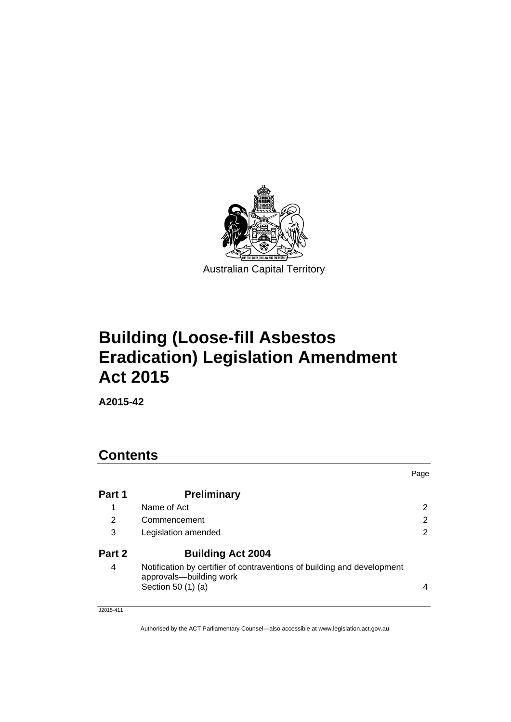

# **Building (Loose-fill Asbestos Eradication) Legislation Amendment Act 2015**

**A2015-42** 

| <b>Contents</b> |                                                                                                    |                |  |  |
|-----------------|----------------------------------------------------------------------------------------------------|----------------|--|--|
|                 |                                                                                                    | Page           |  |  |
| Part 1          | <b>Preliminary</b>                                                                                 |                |  |  |
| 1               | Name of Act                                                                                        | 2              |  |  |
| 2               | Commencement                                                                                       | 2              |  |  |
| 3               | Legislation amended                                                                                | $\overline{2}$ |  |  |
| Part 2          | <b>Building Act 2004</b>                                                                           |                |  |  |
| 4               | Notification by certifier of contraventions of building and development<br>approvals-building work |                |  |  |
|                 | Section 50 (1) (a)                                                                                 | 4              |  |  |

J2015-411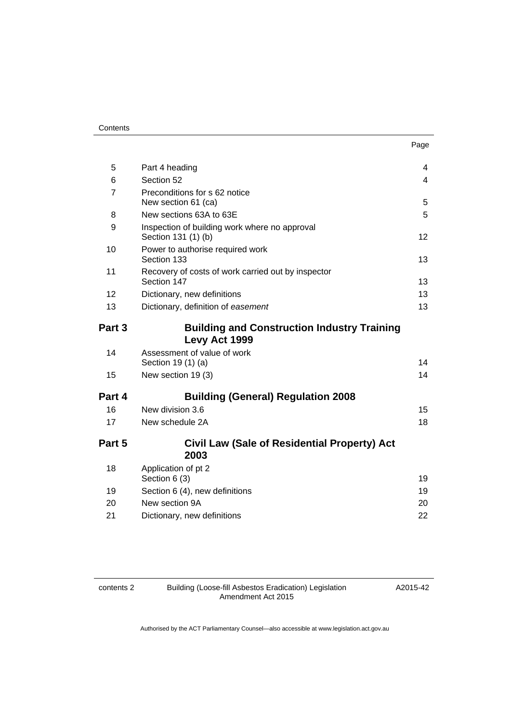#### **Contents**

| . .<br>۰.<br>×<br>×<br>$\sim$ |
|-------------------------------|
|-------------------------------|

| 5              | Part 4 heading                                                       | $\overline{4}$ |
|----------------|----------------------------------------------------------------------|----------------|
| 6              | Section 52                                                           | $\overline{4}$ |
| $\overline{7}$ | Preconditions for s 62 notice                                        |                |
|                | New section 61 (ca)                                                  | 5              |
| 8              | New sections 63A to 63E                                              | 5              |
| 9              | Inspection of building work where no approval<br>Section 131 (1) (b) | 12             |
| 10             | Power to authorise required work<br>Section 133                      | 13             |
| 11             | Recovery of costs of work carried out by inspector                   |                |
|                | Section 147                                                          | 13             |
| 12             | Dictionary, new definitions                                          | 13             |
| 13             | Dictionary, definition of easement                                   | 13             |
| Part 3         | <b>Building and Construction Industry Training</b><br>Levy Act 1999  |                |
| 14             | Assessment of value of work<br>Section 19 (1) (a)                    | 14             |
| 15             | New section 19 (3)                                                   | 14             |
| Part 4         | <b>Building (General) Regulation 2008</b>                            |                |
| 16             | New division 3.6                                                     | 15             |
| 17             | New schedule 2A                                                      | 18             |
| Part 5         | Civil Law (Sale of Residential Property) Act<br>2003                 |                |
| 18             | Application of pt 2<br>Section 6 (3)                                 | 19             |
| 19             | Section 6 (4), new definitions                                       | 19             |
| 20             | New section 9A                                                       | 20             |
| 21             | Dictionary, new definitions                                          | 22             |
|                |                                                                      |                |

contents 2 Building (Loose-fill Asbestos Eradication) Legislation Amendment Act 2015

A2015-42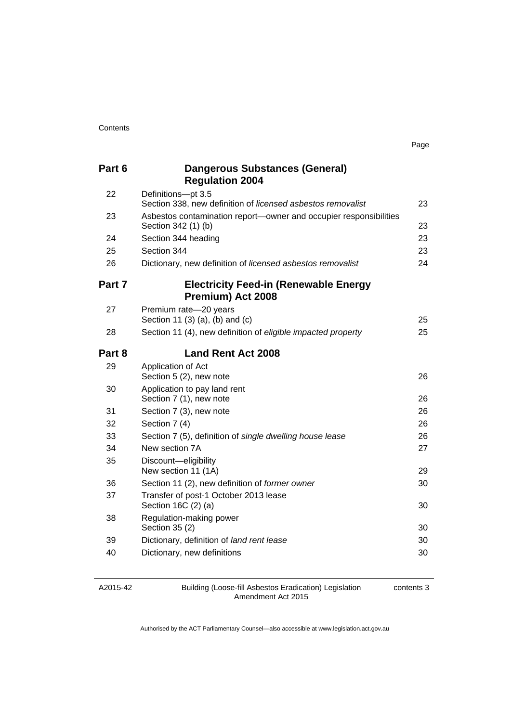| Part 6 | Dangerous Substances (General)<br><b>Regulation 2004</b>                                 |    |
|--------|------------------------------------------------------------------------------------------|----|
| 22     | Definitions-pt 3.5<br>Section 338, new definition of licensed asbestos removalist        | 23 |
| 23     | Asbestos contamination report-owner and occupier responsibilities<br>Section 342 (1) (b) | 23 |
| 24     | Section 344 heading                                                                      | 23 |
| 25     | Section 344                                                                              | 23 |
| 26     | Dictionary, new definition of licensed asbestos removalist                               | 24 |
| Part 7 | <b>Electricity Feed-in (Renewable Energy</b><br>Premium) Act 2008                        |    |
| 27     | Premium rate-20 years<br>Section 11 (3) (a), (b) and (c)                                 | 25 |
| 28     | Section 11 (4), new definition of eligible impacted property                             | 25 |
| Part 8 | <b>Land Rent Act 2008</b>                                                                |    |
| 29     | Application of Act<br>Section 5 (2), new note                                            | 26 |
| 30     | Application to pay land rent<br>Section 7 (1), new note                                  | 26 |
| 31     | Section 7 (3), new note                                                                  | 26 |
| 32     | Section 7 (4)                                                                            | 26 |
| 33     | Section 7 (5), definition of single dwelling house lease                                 | 26 |
| 34     | New section 7A                                                                           | 27 |
| 35     | Discount-eligibility<br>New section 11 (1A)                                              | 29 |
| 36     | Section 11 (2), new definition of former owner                                           | 30 |
| 37     | Transfer of post-1 October 2013 lease<br>Section 16C (2) (a)                             | 30 |
| 38     | Regulation-making power<br>Section 35 (2)                                                | 30 |
| 39     | Dictionary, definition of land rent lease                                                | 30 |
| 40     | Dictionary, new definitions                                                              | 30 |

A2015-42

Building (Loose-fill Asbestos Eradication) Legislation Amendment Act 2015

contents 3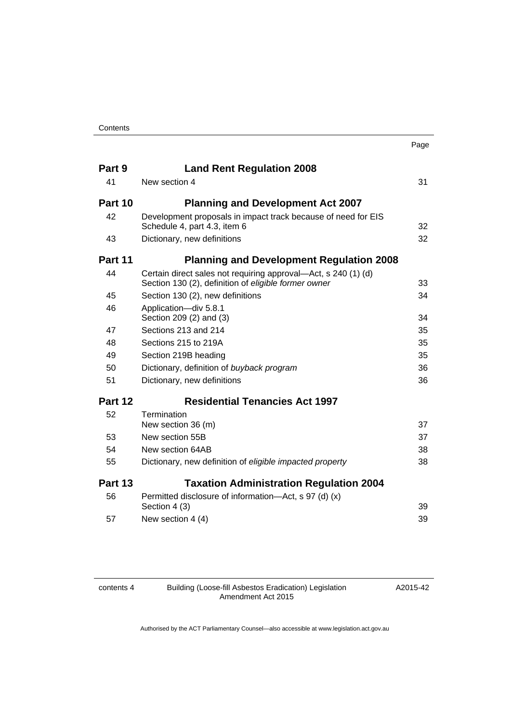|         |                                                                                                                        | Page |
|---------|------------------------------------------------------------------------------------------------------------------------|------|
| Part 9  | <b>Land Rent Regulation 2008</b>                                                                                       |      |
| 41      | New section 4                                                                                                          | 31   |
| Part 10 | <b>Planning and Development Act 2007</b>                                                                               |      |
| 42      | Development proposals in impact track because of need for EIS<br>Schedule 4, part 4.3, item 6                          | 32   |
| 43      | Dictionary, new definitions                                                                                            | 32   |
| Part 11 | <b>Planning and Development Regulation 2008</b>                                                                        |      |
| 44      | Certain direct sales not requiring approval—Act, s 240 (1) (d)<br>Section 130 (2), definition of eligible former owner | 33   |
| 45      | Section 130 (2), new definitions                                                                                       | 34   |
| 46      | Application-div 5.8.1<br>Section 209 (2) and (3)                                                                       | 34   |
| 47      | Sections 213 and 214                                                                                                   | 35   |
| 48      | Sections 215 to 219A                                                                                                   | 35   |
| 49      | Section 219B heading                                                                                                   | 35   |
| 50      | Dictionary, definition of buyback program                                                                              | 36   |
| 51      | Dictionary, new definitions                                                                                            | 36   |
| Part 12 | <b>Residential Tenancies Act 1997</b>                                                                                  |      |
| 52      | <b>Termination</b><br>New section 36 (m)                                                                               | 37   |
| 53      | New section 55B                                                                                                        | 37   |
| 54      | New section 64AB                                                                                                       | 38   |
| 55      | Dictionary, new definition of eligible impacted property                                                               | 38   |
| Part 13 | <b>Taxation Administration Regulation 2004</b>                                                                         |      |
| 56      | Permitted disclosure of information—Act, s 97 (d) (x)<br>Section 4 (3)                                                 | 39   |
| 57      | New section 4 (4)                                                                                                      | 39   |
|         |                                                                                                                        |      |

contents 4 Building (Loose-fill Asbestos Eradication) Legislation Amendment Act 2015

A2015-42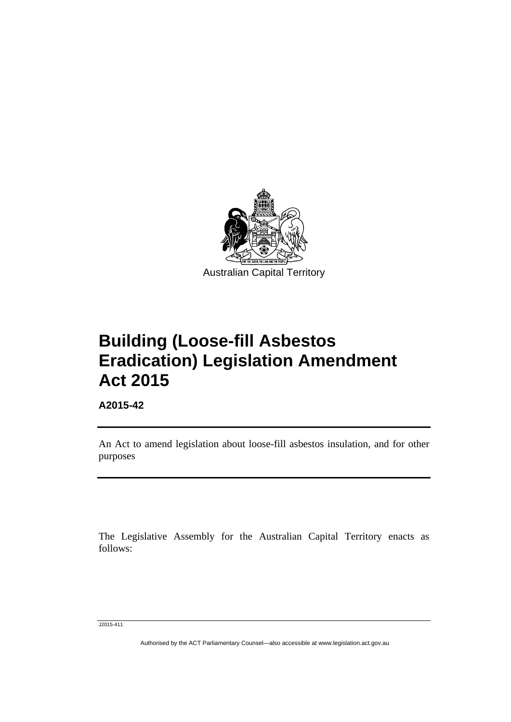

**Building (Loose-fill Asbestos Eradication) Legislation Amendment Act 2015** 

**A2015-42** 

l

An Act to amend legislation about loose-fill asbestos insulation, and for other purposes

The Legislative Assembly for the Australian Capital Territory enacts as follows:

J2015-411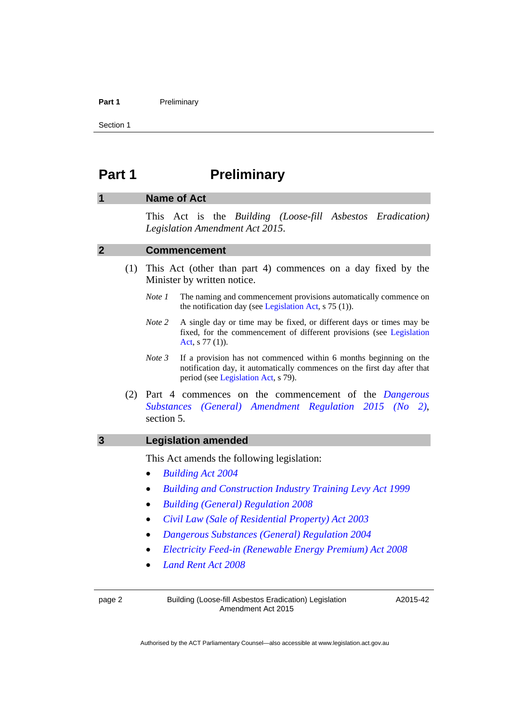#### Part 1 **Preliminary**

Section 1

# <span id="page-5-0"></span>**Part 1** Preliminary

# <span id="page-5-1"></span>**1 Name of Act**

This Act is the *Building (Loose-fill Asbestos Eradication) Legislation Amendment Act 2015*.

#### <span id="page-5-2"></span>**2 Commencement**

- (1) This Act (other than part 4) commences on a day fixed by the Minister by written notice.
	- *Note 1* The naming and commencement provisions automatically commence on the notification day (see [Legislation Act,](http://www.legislation.act.gov.au/a/2001-14) s 75 (1)).
	- *Note 2* A single day or time may be fixed, or different days or times may be fixed, for the commencement of different provisions (see [Legislation](http://www.legislation.act.gov.au/a/2001-14)  [Act](http://www.legislation.act.gov.au/a/2001-14), s 77 (1)).
	- *Note 3* If a provision has not commenced within 6 months beginning on the notification day, it automatically commences on the first day after that period (see [Legislation Act,](http://www.legislation.act.gov.au/a/2001-14) s 79).
- (2) Part 4 commences on the commencement of the *[Dangerous](http://www.legislation.act.gov.au/sl/2015-13/default.asp)  [Substances \(General\) Amendment Regulation 2015 \(No 2\)](http://www.legislation.act.gov.au/sl/2015-13/default.asp)*, section 5.

#### <span id="page-5-3"></span>**3 Legislation amended**

This Act amends the following legislation:

- *[Building Act 2004](http://www.legislation.act.gov.au/a/2004-11)*
- *[Building and Construction Industry Training Levy Act 1999](http://www.legislation.act.gov.au/a/1999-30)*
- *[Building \(General\) Regulation 2008](http://www.legislation.act.gov.au/sl/2008-3)*
- *[Civil Law \(Sale of Residential Property\) Act 2003](http://www.legislation.act.gov.au/a/2003-40)*
- *[Dangerous Substances \(General\) Regulation 2004](http://www.legislation.act.gov.au/sl/2004-56)*
- *[Electricity Feed-in \(Renewable Energy Premium\) Act 2008](http://www.legislation.act.gov.au/a/2008-21)*
- *[Land Rent Act 2008](http://www.legislation.act.gov.au/a/2008-16)*

page 2 Building (Loose-fill Asbestos Eradication) Legislation Amendment Act 2015

A2015-42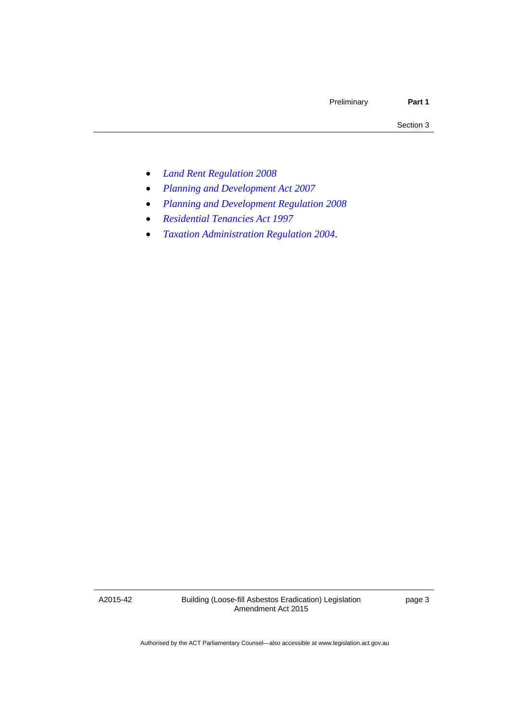- *[Land Rent Regulation 2008](http://www.legislation.act.gov.au/sl/2008-28)*
- *[Planning and Development Act 2007](http://www.legislation.act.gov.au/a/2007-24)*
- *[Planning and Development Regulation 2008](http://www.legislation.act.gov.au/sl/2008-2)*
- *[Residential Tenancies Act 1997](http://www.legislation.act.gov.au/a/1997-84)*
- *[Taxation Administration Regulation 2004](http://www.legislation.act.gov.au/sl/2004-62)*.

A2015-42

Building (Loose-fill Asbestos Eradication) Legislation Amendment Act 2015

page 3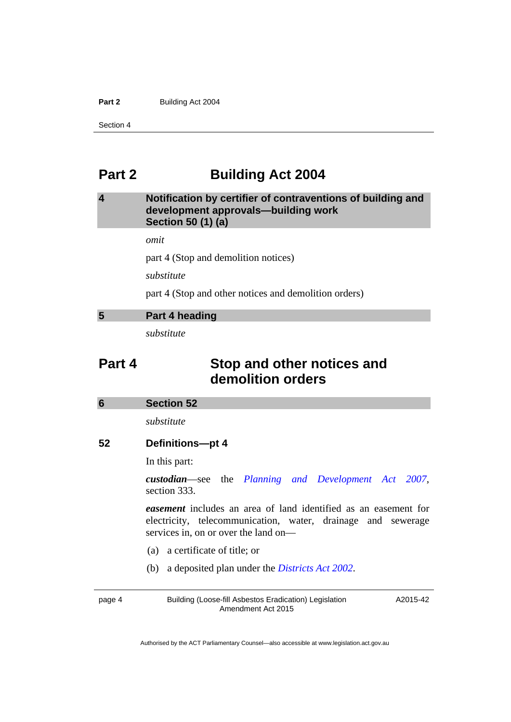#### Part 2 **Building Act 2004**

Section 4

# <span id="page-7-0"></span>**Part 2 Building Act 2004**

# <span id="page-7-1"></span>**4 Notification by certifier of contraventions of building and development approvals—building work Section 50 (1) (a)**

*omit* 

part 4 (Stop and demolition notices)

*substitute* 

part 4 (Stop and other notices and demolition orders)

### <span id="page-7-2"></span>**5 Part 4 heading**

*substitute* 

# **Part 4 Stop and other notices and demolition orders**

<span id="page-7-3"></span>

| 6 | <b>Section 52</b> |
|---|-------------------|
|---|-------------------|

*substitute* 

# **52 Definitions—pt 4**

In this part:

*custodian*—see the *[Planning and Development Act 2007](http://www.legislation.act.gov.au/a/2007-24)*, section 333.

*easement* includes an area of land identified as an easement for electricity, telecommunication, water, drainage and sewerage services in, on or over the land on—

- (a) a certificate of title; or
- (b) a deposited plan under the *[Districts Act 2002](http://www.legislation.act.gov.au/a/2002-39)*.

page 4 Building (Loose-fill Asbestos Eradication) Legislation Amendment Act 2015

A2015-42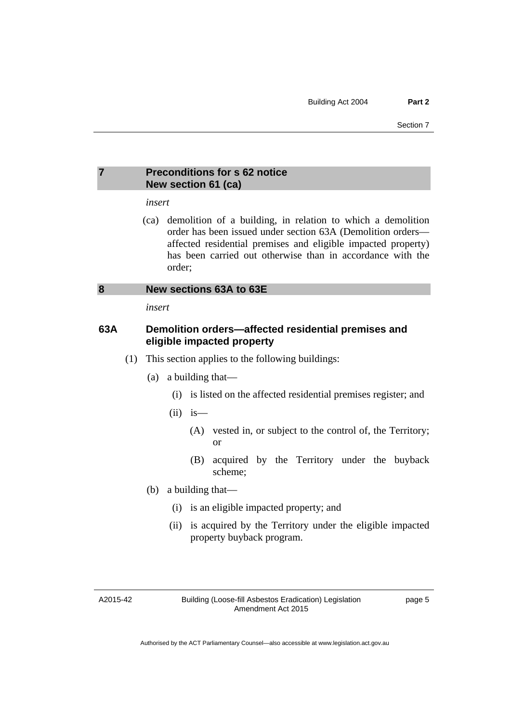# <span id="page-8-0"></span>**7 Preconditions for s 62 notice New section 61 (ca)**

### *insert*

 (ca) demolition of a building, in relation to which a demolition order has been issued under section 63A (Demolition orders affected residential premises and eligible impacted property) has been carried out otherwise than in accordance with the order;

### <span id="page-8-1"></span>**8 New sections 63A to 63E**

*insert* 

# **63A Demolition orders—affected residential premises and eligible impacted property**

- (1) This section applies to the following buildings:
	- (a) a building that—
		- (i) is listed on the affected residential premises register; and
		- $(ii)$  is
			- (A) vested in, or subject to the control of, the Territory; or
			- (B) acquired by the Territory under the buyback scheme;
	- (b) a building that—
		- (i) is an eligible impacted property; and
		- (ii) is acquired by the Territory under the eligible impacted property buyback program.

A2015-42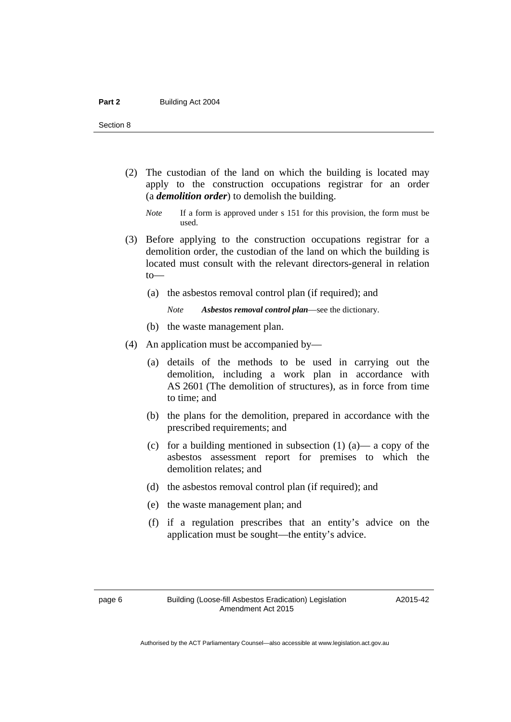- (2) The custodian of the land on which the building is located may apply to the construction occupations registrar for an order (a *demolition order*) to demolish the building.
	- *Note* If a form is approved under s 151 for this provision, the form must be used.
- (3) Before applying to the construction occupations registrar for a demolition order, the custodian of the land on which the building is located must consult with the relevant directors-general in relation to—
	- (a) the asbestos removal control plan (if required); and
		- *Note Asbestos removal control plan*—see the dictionary.
	- (b) the waste management plan.
- (4) An application must be accompanied by—
	- (a) details of the methods to be used in carrying out the demolition, including a work plan in accordance with AS 2601 (The demolition of structures), as in force from time to time; and
	- (b) the plans for the demolition, prepared in accordance with the prescribed requirements; and
	- (c) for a building mentioned in subsection  $(1)$   $(a)$   $\rightarrow$  a copy of the asbestos assessment report for premises to which the demolition relates; and
	- (d) the asbestos removal control plan (if required); and
	- (e) the waste management plan; and
	- (f) if a regulation prescribes that an entity's advice on the application must be sought—the entity's advice.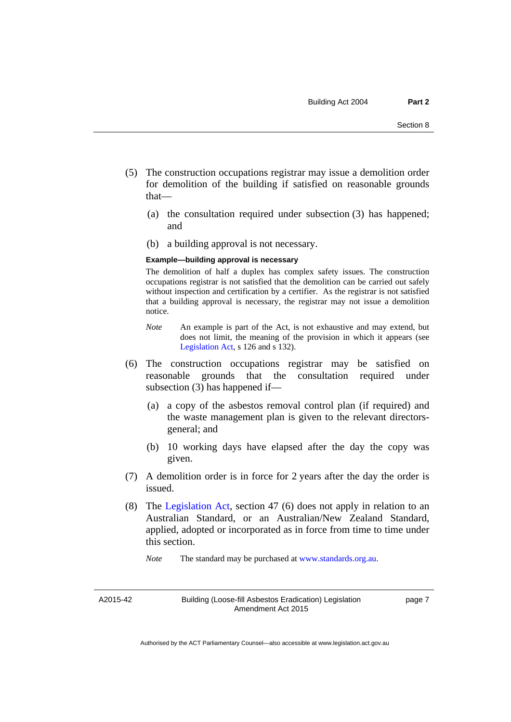- (5) The construction occupations registrar may issue a demolition order for demolition of the building if satisfied on reasonable grounds that—
	- (a) the consultation required under subsection (3) has happened; and
	- (b) a building approval is not necessary.

#### **Example—building approval is necessary**

The demolition of half a duplex has complex safety issues. The construction occupations registrar is not satisfied that the demolition can be carried out safely without inspection and certification by a certifier. As the registrar is not satisfied that a building approval is necessary, the registrar may not issue a demolition notice.

- *Note* An example is part of the Act, is not exhaustive and may extend, but does not limit, the meaning of the provision in which it appears (see [Legislation Act,](http://www.legislation.act.gov.au/a/2001-14) s 126 and s 132).
- (6) The construction occupations registrar may be satisfied on reasonable grounds that the consultation required under subsection (3) has happened if—
	- (a) a copy of the asbestos removal control plan (if required) and the waste management plan is given to the relevant directorsgeneral; and
	- (b) 10 working days have elapsed after the day the copy was given.
- (7) A demolition order is in force for 2 years after the day the order is issued.
- (8) The [Legislation Act,](http://www.legislation.act.gov.au/a/2001-14) section 47 (6) does not apply in relation to an Australian Standard, or an Australian/New Zealand Standard, applied, adopted or incorporated as in force from time to time under this section.

*Note* The standard may be purchased at [www.standards.org.au.](http://www.standards.org.au/)

A2015-42

Building (Loose-fill Asbestos Eradication) Legislation Amendment Act 2015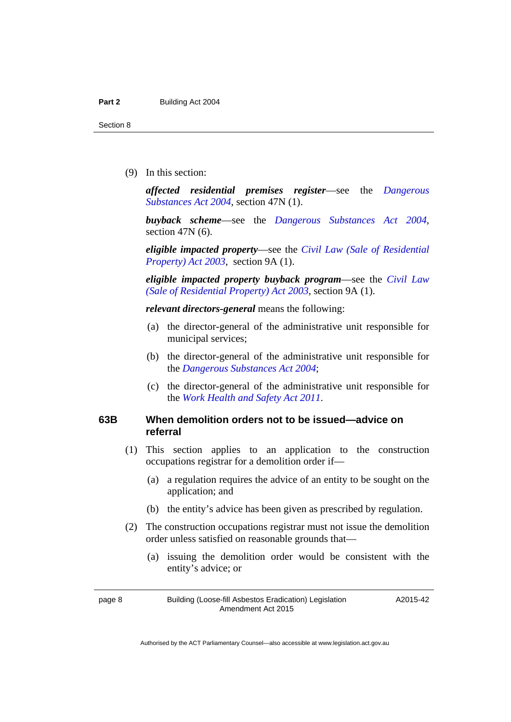(9) In this section:

*affected residential premises register*—see the *[Dangerous](http://www.legislation.act.gov.au/a/2004-7)  [Substances Act 2004](http://www.legislation.act.gov.au/a/2004-7)*, section 47N (1).

*buyback scheme*—see the *[Dangerous Substances Act 2004](http://www.legislation.act.gov.au/a/2004-7)*, section 47N (6).

*eligible impacted property*—see the *[Civil Law \(Sale of Residential](http://www.legislation.act.gov.au/a/2003-40)  [Property\) Act 2003](http://www.legislation.act.gov.au/a/2003-40)*, section 9A (1).

*eligible impacted property buyback program*—see the *[Civil Law](http://www.legislation.act.gov.au/a/2003-40)  [\(Sale of Residential Property\) Act 2003](http://www.legislation.act.gov.au/a/2003-40)*, section 9A (1).

*relevant directors-general* means the following:

- (a) the director-general of the administrative unit responsible for municipal services;
- (b) the director-general of the administrative unit responsible for the *[Dangerous Substances Act 2004](http://www.legislation.act.gov.au/a/2004-7)*;
- (c) the director-general of the administrative unit responsible for the *[Work Health and Safety Act 2011](http://www.legislation.act.gov.au/a/2011-35)*.

### **63B When demolition orders not to be issued—advice on referral**

- (1) This section applies to an application to the construction occupations registrar for a demolition order if—
	- (a) a regulation requires the advice of an entity to be sought on the application; and
	- (b) the entity's advice has been given as prescribed by regulation.
- (2) The construction occupations registrar must not issue the demolition order unless satisfied on reasonable grounds that—
	- (a) issuing the demolition order would be consistent with the entity's advice; or

page 8 Building (Loose-fill Asbestos Eradication) Legislation Amendment Act 2015

A2015-42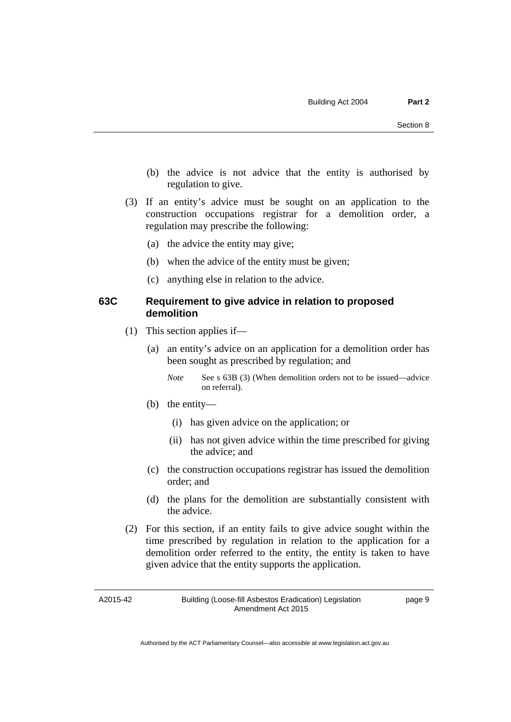- (b) the advice is not advice that the entity is authorised by regulation to give.
- (3) If an entity's advice must be sought on an application to the construction occupations registrar for a demolition order, a regulation may prescribe the following:
	- (a) the advice the entity may give;
	- (b) when the advice of the entity must be given;
	- (c) anything else in relation to the advice.

### **63C Requirement to give advice in relation to proposed demolition**

- (1) This section applies if—
	- (a) an entity's advice on an application for a demolition order has been sought as prescribed by regulation; and
		- *Note* See s 63B (3) (When demolition orders not to be issued—advice on referral).
	- (b) the entity—
		- (i) has given advice on the application; or
		- (ii) has not given advice within the time prescribed for giving the advice; and
	- (c) the construction occupations registrar has issued the demolition order; and
	- (d) the plans for the demolition are substantially consistent with the advice.
- (2) For this section, if an entity fails to give advice sought within the time prescribed by regulation in relation to the application for a demolition order referred to the entity, the entity is taken to have given advice that the entity supports the application.

A2015-42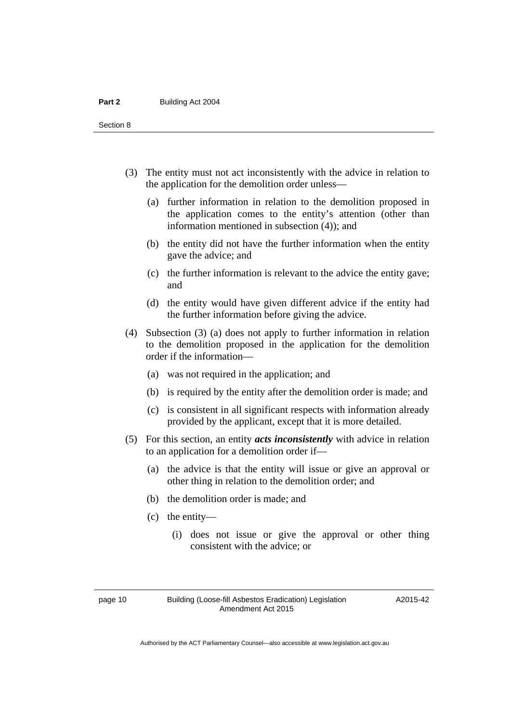- (3) The entity must not act inconsistently with the advice in relation to the application for the demolition order unless—
	- (a) further information in relation to the demolition proposed in the application comes to the entity's attention (other than information mentioned in subsection (4)); and
	- (b) the entity did not have the further information when the entity gave the advice; and
	- (c) the further information is relevant to the advice the entity gave; and
	- (d) the entity would have given different advice if the entity had the further information before giving the advice.
- (4) Subsection (3) (a) does not apply to further information in relation to the demolition proposed in the application for the demolition order if the information—
	- (a) was not required in the application; and
	- (b) is required by the entity after the demolition order is made; and
	- (c) is consistent in all significant respects with information already provided by the applicant, except that it is more detailed.
- (5) For this section, an entity *acts inconsistently* with advice in relation to an application for a demolition order if—
	- (a) the advice is that the entity will issue or give an approval or other thing in relation to the demolition order; and
	- (b) the demolition order is made; and
	- (c) the entity—
		- (i) does not issue or give the approval or other thing consistent with the advice; or

A2015-42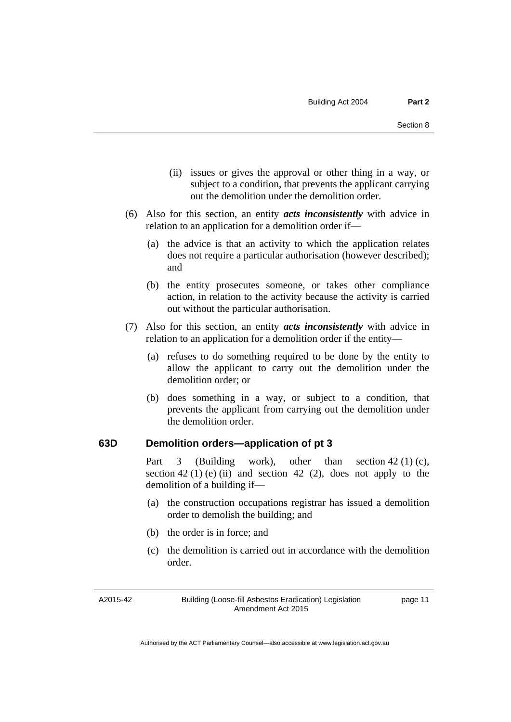- (ii) issues or gives the approval or other thing in a way, or subject to a condition, that prevents the applicant carrying out the demolition under the demolition order.
- (6) Also for this section, an entity *acts inconsistently* with advice in relation to an application for a demolition order if—
	- (a) the advice is that an activity to which the application relates does not require a particular authorisation (however described); and
	- (b) the entity prosecutes someone, or takes other compliance action, in relation to the activity because the activity is carried out without the particular authorisation.
- (7) Also for this section, an entity *acts inconsistently* with advice in relation to an application for a demolition order if the entity—
	- (a) refuses to do something required to be done by the entity to allow the applicant to carry out the demolition under the demolition order; or
	- (b) does something in a way, or subject to a condition, that prevents the applicant from carrying out the demolition under the demolition order.

# **63D Demolition orders—application of pt 3**

Part 3 (Building work), other than section  $42(1)(c)$ , section 42 (1) (e) (ii) and section 42 (2), does not apply to the demolition of a building if—

- (a) the construction occupations registrar has issued a demolition order to demolish the building; and
- (b) the order is in force; and
- (c) the demolition is carried out in accordance with the demolition order.

A2015-42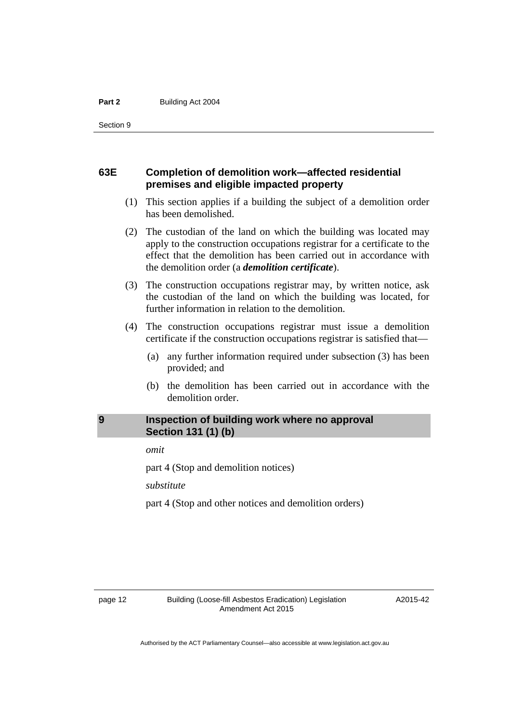# **63E Completion of demolition work—affected residential premises and eligible impacted property**

- (1) This section applies if a building the subject of a demolition order has been demolished.
- (2) The custodian of the land on which the building was located may apply to the construction occupations registrar for a certificate to the effect that the demolition has been carried out in accordance with the demolition order (a *demolition certificate*).
- (3) The construction occupations registrar may, by written notice, ask the custodian of the land on which the building was located, for further information in relation to the demolition.
- (4) The construction occupations registrar must issue a demolition certificate if the construction occupations registrar is satisfied that—
	- (a) any further information required under subsection (3) has been provided; and
	- (b) the demolition has been carried out in accordance with the demolition order.

# <span id="page-15-0"></span>**9 Inspection of building work where no approval Section 131 (1) (b)**

*omit* 

part 4 (Stop and demolition notices)

*substitute* 

part 4 (Stop and other notices and demolition orders)

A2015-42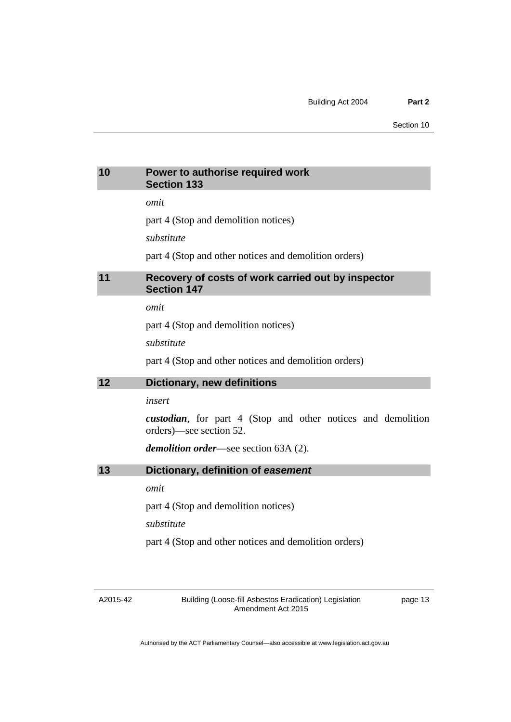# <span id="page-16-2"></span><span id="page-16-1"></span><span id="page-16-0"></span>**10 Power to authorise required work Section 133**  *omit*  part 4 (Stop and demolition notices) *substitute*  part 4 (Stop and other notices and demolition orders) **11 Recovery of costs of work carried out by inspector Section 147**  *omit*  part 4 (Stop and demolition notices) *substitute*  part 4 (Stop and other notices and demolition orders) **12 Dictionary, new definitions**  *insert custodian*, for part 4 (Stop and other notices and demolition orders)—see section 52. *demolition order*—see section 63A (2). **13 Dictionary, definition of** *easement omit*  part 4 (Stop and demolition notices) *substitute*  part 4 (Stop and other notices and demolition orders)

<span id="page-16-3"></span>A2015-42

Building (Loose-fill Asbestos Eradication) Legislation Amendment Act 2015

page 13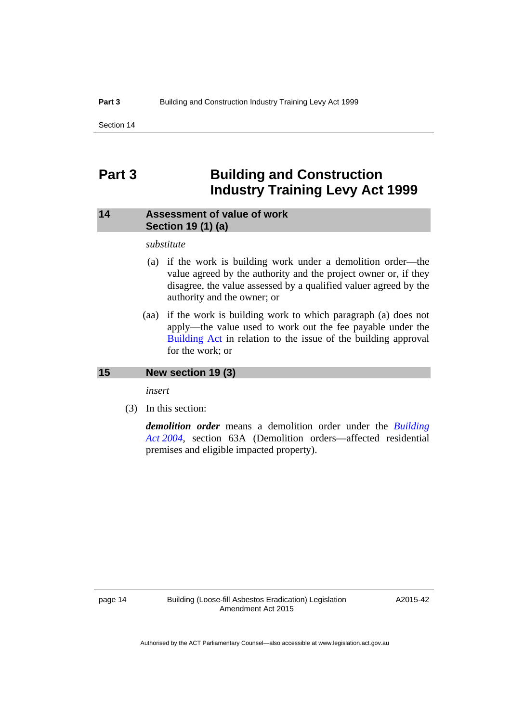# <span id="page-17-0"></span>**Part 3 Building and Construction Industry Training Levy Act 1999**

# <span id="page-17-1"></span>**14 Assessment of value of work Section 19 (1) (a)**

### *substitute*

- (a) if the work is building work under a demolition order—the value agreed by the authority and the project owner or, if they disagree, the value assessed by a qualified valuer agreed by the authority and the owner; or
- (aa) if the work is building work to which paragraph (a) does not apply—the value used to work out the fee payable under the [Building Act](http://www.legislation.act.gov.au/a/2004-11/default.asp) in relation to the issue of the building approval for the work; or

### <span id="page-17-2"></span>**15 New section 19 (3)**

*insert* 

(3) In this section:

*demolition order* means a demolition order under the *[Building](http://www.legislation.act.gov.au/a/2004-11)  [Act 2004](http://www.legislation.act.gov.au/a/2004-11)*, section 63A (Demolition orders—affected residential premises and eligible impacted property).

A2015-42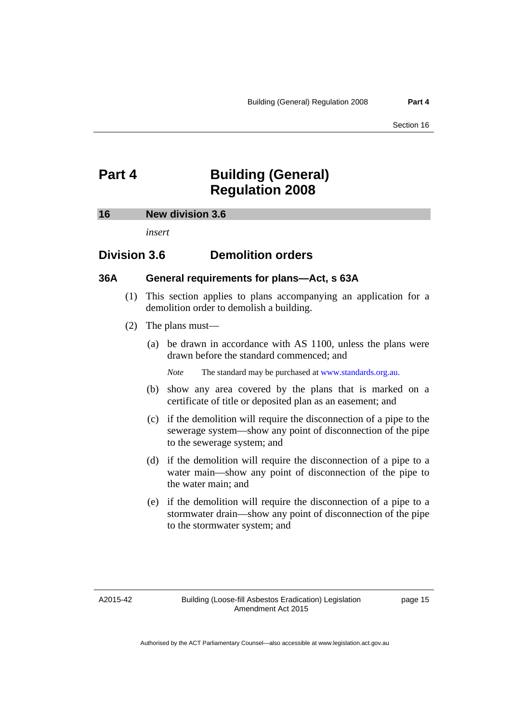# <span id="page-18-0"></span>**Part 4 Building (General) Regulation 2008**

#### <span id="page-18-1"></span>**16 New division 3.6**

*insert* 

# **Division 3.6 Demolition orders**

# **36A General requirements for plans—Act, s 63A**

- (1) This section applies to plans accompanying an application for a demolition order to demolish a building.
- (2) The plans must—
	- (a) be drawn in accordance with AS 1100, unless the plans were drawn before the standard commenced; and

*Note* The standard may be purchased at [www.standards.org.au.](http://www.standards.org.au/)

- (b) show any area covered by the plans that is marked on a certificate of title or deposited plan as an easement; and
- (c) if the demolition will require the disconnection of a pipe to the sewerage system—show any point of disconnection of the pipe to the sewerage system; and
- (d) if the demolition will require the disconnection of a pipe to a water main—show any point of disconnection of the pipe to the water main; and
- (e) if the demolition will require the disconnection of a pipe to a stormwater drain—show any point of disconnection of the pipe to the stormwater system; and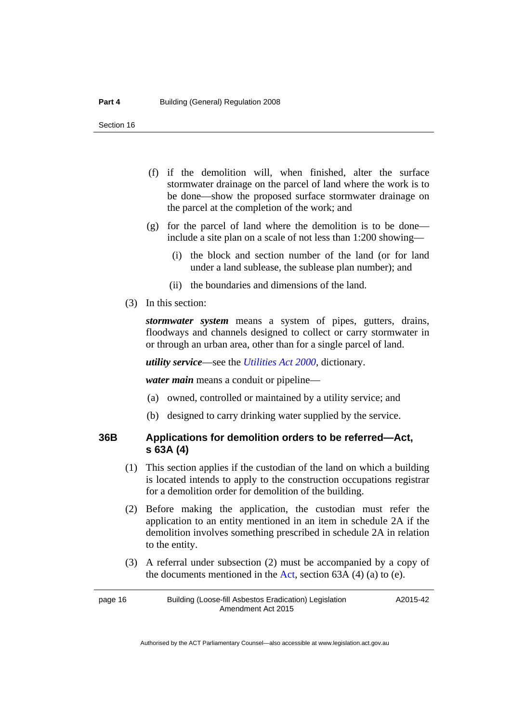- (f) if the demolition will, when finished, alter the surface stormwater drainage on the parcel of land where the work is to be done—show the proposed surface stormwater drainage on the parcel at the completion of the work; and
- (g) for the parcel of land where the demolition is to be done include a site plan on a scale of not less than 1:200 showing—
	- (i) the block and section number of the land (or for land under a land sublease, the sublease plan number); and
	- (ii) the boundaries and dimensions of the land.
- (3) In this section:

*stormwater system* means a system of pipes, gutters, drains, floodways and channels designed to collect or carry stormwater in or through an urban area, other than for a single parcel of land.

*utility service*—see the *[Utilities Act 2000](http://www.legislation.act.gov.au/a/2000-65)*, dictionary.

*water main* means a conduit or pipeline—

- (a) owned, controlled or maintained by a utility service; and
- (b) designed to carry drinking water supplied by the service.

# **36B Applications for demolition orders to be referred—Act, s 63A (4)**

- (1) This section applies if the custodian of the land on which a building is located intends to apply to the construction occupations registrar for a demolition order for demolition of the building.
- (2) Before making the application, the custodian must refer the application to an entity mentioned in an item in schedule 2A if the demolition involves something prescribed in schedule 2A in relation to the entity.
- (3) A referral under subsection (2) must be accompanied by a copy of the documents mentioned in the [Act,](http://www.legislation.act.gov.au/a/2004-11/default.asp) section  $63A(4)(a)$  to (e).

page 16 Building (Loose-fill Asbestos Eradication) Legislation Amendment Act 2015

A2015-42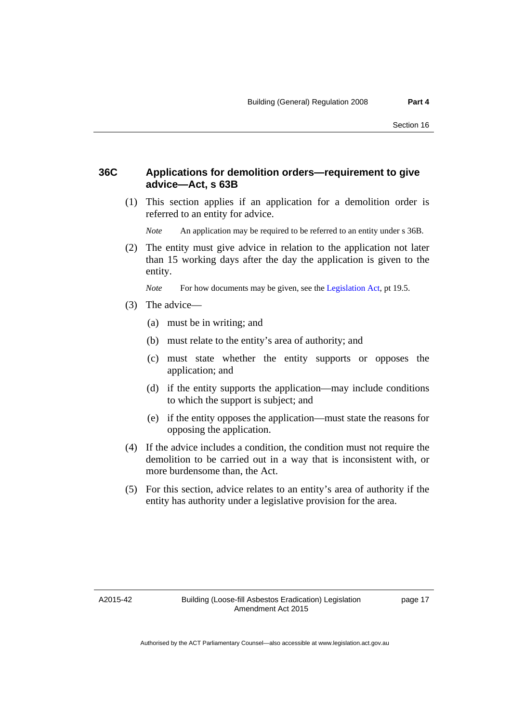# **36C Applications for demolition orders—requirement to give advice—Act, s 63B**

 (1) This section applies if an application for a demolition order is referred to an entity for advice.

*Note* An application may be required to be referred to an entity under s 36B.

 (2) The entity must give advice in relation to the application not later than 15 working days after the day the application is given to the entity.

*Note* For how documents may be given, see the [Legislation Act,](http://www.legislation.act.gov.au/a/2001-14) pt 19.5.

- (3) The advice—
	- (a) must be in writing; and
	- (b) must relate to the entity's area of authority; and
	- (c) must state whether the entity supports or opposes the application; and
	- (d) if the entity supports the application—may include conditions to which the support is subject; and
	- (e) if the entity opposes the application—must state the reasons for opposing the application.
- (4) If the advice includes a condition, the condition must not require the demolition to be carried out in a way that is inconsistent with, or more burdensome than, the Act.
- (5) For this section, advice relates to an entity's area of authority if the entity has authority under a legislative provision for the area.

A2015-42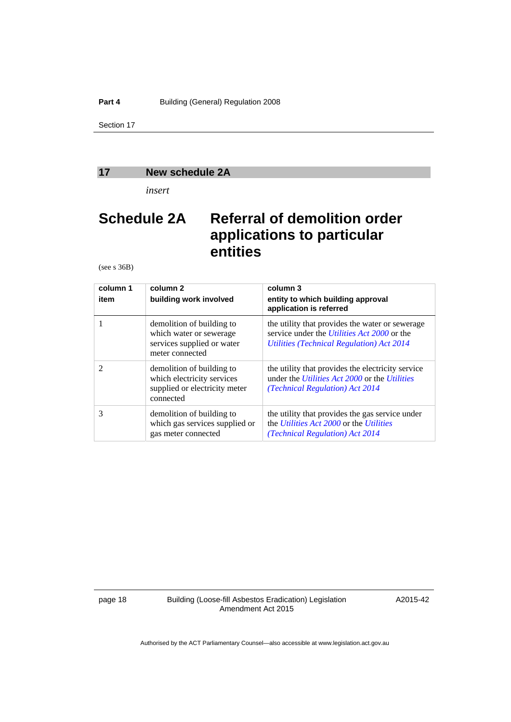### <span id="page-21-0"></span>**17 New schedule 2A**

*insert* 

# **Schedule 2A Referral of demolition order applications to particular entities**

(see s 36B)

| column 1<br>item            | column 2<br>building work involved                                                                    | column 3<br>entity to which building approval<br>application is referred                                                                            |  |  |
|-----------------------------|-------------------------------------------------------------------------------------------------------|-----------------------------------------------------------------------------------------------------------------------------------------------------|--|--|
|                             | demolition of building to<br>which water or sewerage<br>services supplied or water<br>meter connected | the utility that provides the water or sewerage<br>service under the <i>Utilities Act 2000</i> or the<br>Utilities (Technical Regulation) Act 2014  |  |  |
| $\mathcal{D}_{\mathcal{L}}$ | demolition of building to<br>which electricity services<br>supplied or electricity meter<br>connected | the utility that provides the electricity service<br>under the <i>Utilities Act 2000</i> or the <i>Utilities</i><br>(Technical Regulation) Act 2014 |  |  |
| 3                           | demolition of building to<br>which gas services supplied or<br>gas meter connected                    | the utility that provides the gas service under<br>the <i>Utilities Act 2000</i> or the <i>Utilities</i><br>(Technical Regulation) Act 2014         |  |  |

page 18 Building (Loose-fill Asbestos Eradication) Legislation Amendment Act 2015

A2015-42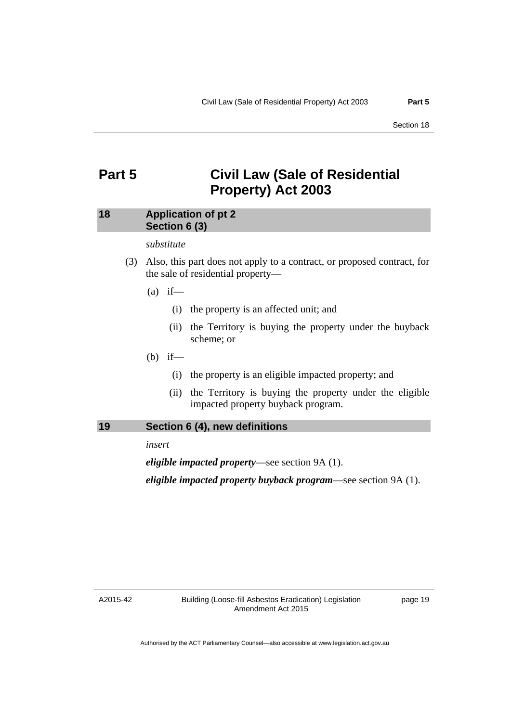# <span id="page-22-0"></span>**Part 5 Civil Law (Sale of Residential Property) Act 2003**

# <span id="page-22-1"></span>**18 Application of pt 2 Section 6 (3)**

### *substitute*

- (3) Also, this part does not apply to a contract, or proposed contract, for the sale of residential property—
	- $(a)$  if—
		- (i) the property is an affected unit; and
		- (ii) the Territory is buying the property under the buyback scheme; or
	- (b) if—
		- (i) the property is an eligible impacted property; and
		- (ii) the Territory is buying the property under the eligible impacted property buyback program.

### <span id="page-22-2"></span>**19 Section 6 (4), new definitions**

*insert* 

*eligible impacted property*—see section 9A (1).

*eligible impacted property buyback program*—see section 9A (1).

A2015-42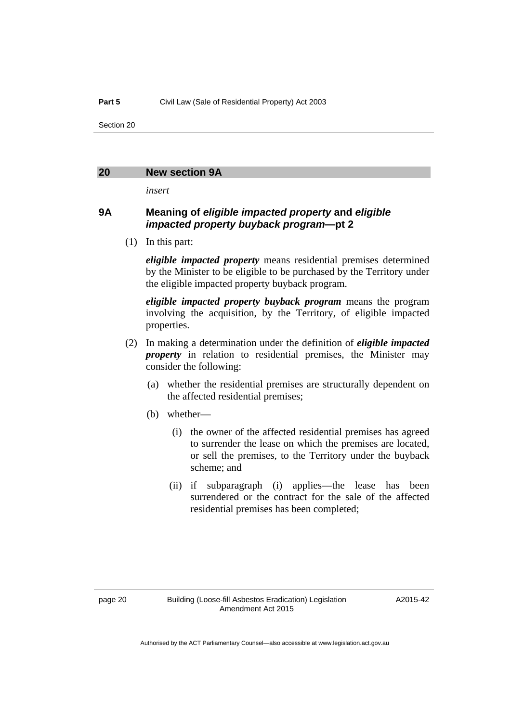#### <span id="page-23-0"></span>**20 New section 9A**

*insert* 

# **9A Meaning of** *eligible impacted property* **and** *eligible impacted property buyback program***—pt 2**

(1) In this part:

*eligible impacted property* means residential premises determined by the Minister to be eligible to be purchased by the Territory under the eligible impacted property buyback program.

*eligible impacted property buyback program* means the program involving the acquisition, by the Territory, of eligible impacted properties.

- (2) In making a determination under the definition of *eligible impacted property* in relation to residential premises, the Minister may consider the following:
	- (a) whether the residential premises are structurally dependent on the affected residential premises;
	- (b) whether—
		- (i) the owner of the affected residential premises has agreed to surrender the lease on which the premises are located, or sell the premises, to the Territory under the buyback scheme; and
		- (ii) if subparagraph (i) applies—the lease has been surrendered or the contract for the sale of the affected residential premises has been completed;

A2015-42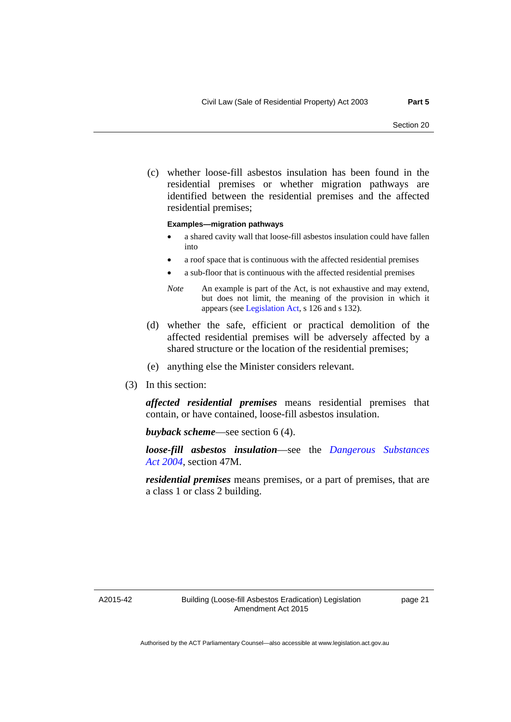(c) whether loose-fill asbestos insulation has been found in the residential premises or whether migration pathways are identified between the residential premises and the affected residential premises;

#### **Examples—migration pathways**

- a shared cavity wall that loose-fill asbestos insulation could have fallen into
- a roof space that is continuous with the affected residential premises
- a sub-floor that is continuous with the affected residential premises
- *Note* An example is part of the Act, is not exhaustive and may extend, but does not limit, the meaning of the provision in which it appears (see [Legislation Act,](http://www.legislation.act.gov.au/a/2001-14) s 126 and s 132).
- (d) whether the safe, efficient or practical demolition of the affected residential premises will be adversely affected by a shared structure or the location of the residential premises;
- (e) anything else the Minister considers relevant.
- (3) In this section:

*affected residential premises* means residential premises that contain, or have contained, loose-fill asbestos insulation.

*buyback scheme*—see section 6 (4).

*loose-fill asbestos insulation*—see the *[Dangerous Substances](http://www.legislation.act.gov.au/a/2004-7)  [Act 2004](http://www.legislation.act.gov.au/a/2004-7)*, section 47M.

*residential premises* means premises, or a part of premises, that are a class 1 or class 2 building.

A2015-42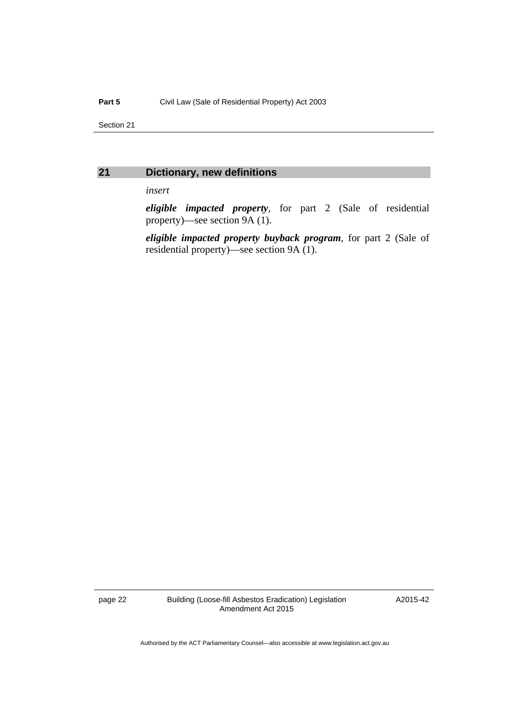# <span id="page-25-0"></span>**21 Dictionary, new definitions**

*insert* 

*eligible impacted property*, for part 2 (Sale of residential property)—see section 9A (1).

*eligible impacted property buyback program*, for part 2 (Sale of residential property)—see section 9A (1).

page 22 Building (Loose-fill Asbestos Eradication) Legislation Amendment Act 2015

A2015-42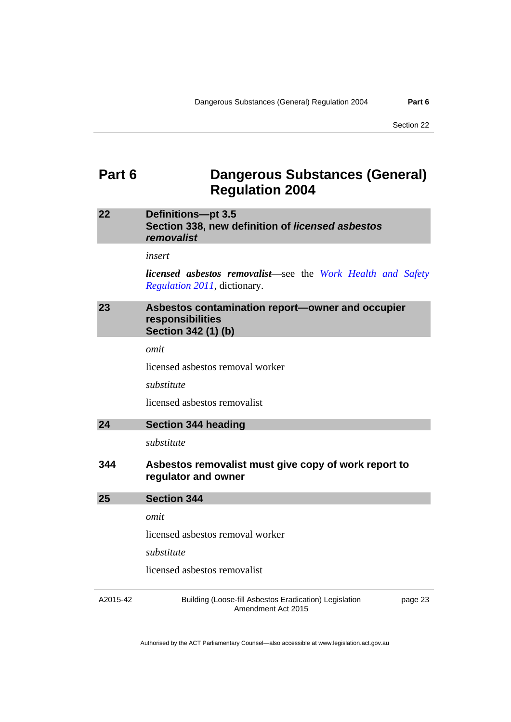# <span id="page-26-0"></span>**Part 6 Dangerous Substances (General) Regulation 2004**

# <span id="page-26-1"></span>**22 Definitions—pt 3.5 Section 338, new definition of** *licensed asbestos removalist*

*insert* 

*licensed asbestos removalist*—see the *[Work Health and Safety](http://www.legislation.act.gov.au/sl/2011-36)  [Regulation 2011](http://www.legislation.act.gov.au/sl/2011-36)*, dictionary.

# <span id="page-26-2"></span>**23 Asbestos contamination report—owner and occupier responsibilities Section 342 (1) (b)**

*omit* 

licensed asbestos removal worker

*substitute* 

licensed asbestos removalist

<span id="page-26-3"></span>

| 24<br><b>Section 344 heading</b> |  |
|----------------------------------|--|
|----------------------------------|--|

*substitute* 

# **344 Asbestos removalist must give copy of work report to regulator and owner**

<span id="page-26-4"></span>

*omit* 

licensed asbestos removal worker

*substitute* 

licensed asbestos removalist

A2015-42

Building (Loose-fill Asbestos Eradication) Legislation Amendment Act 2015

page 23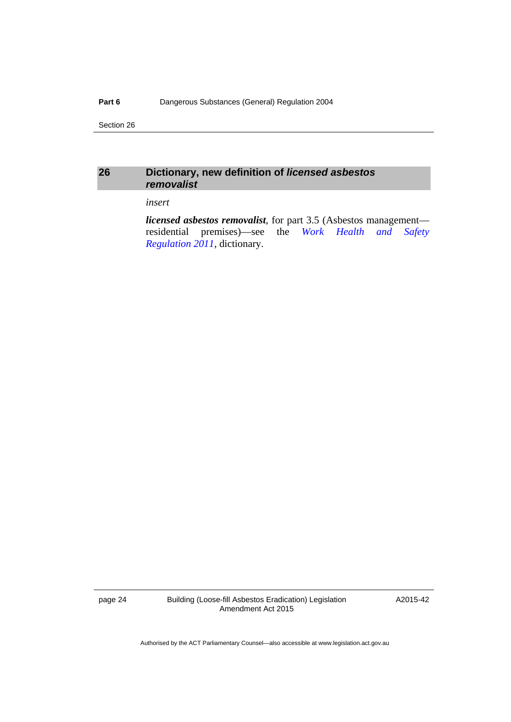# <span id="page-27-0"></span>**26 Dictionary, new definition of** *licensed asbestos removalist*

### *insert*

*licensed asbestos removalist*, for part 3.5 (Asbestos management residential premises)—see the *[Work Health and Safety](http://www.legislation.act.gov.au/sl/2011-36)  [Regulation 2011](http://www.legislation.act.gov.au/sl/2011-36)*, dictionary.

page 24 Building (Loose-fill Asbestos Eradication) Legislation Amendment Act 2015

A2015-42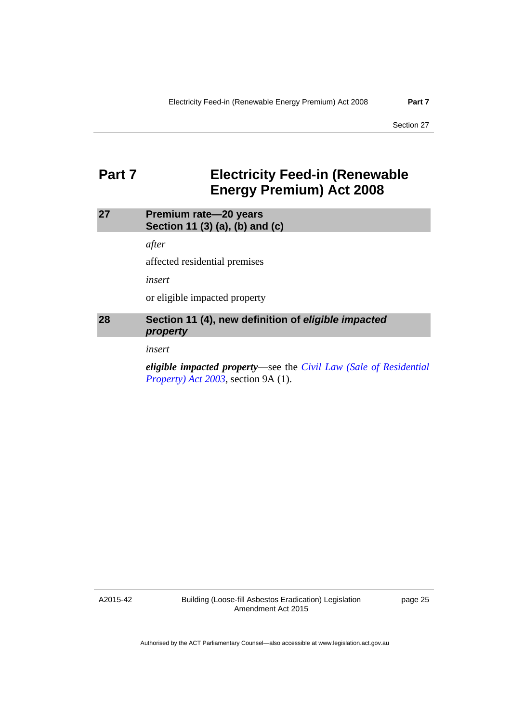# <span id="page-28-0"></span>**Part 7 Electricity Feed-in (Renewable Energy Premium) Act 2008**

# <span id="page-28-1"></span>**27 Premium rate—20 years Section 11 (3) (a), (b) and (c)**

*after* 

affected residential premises

*insert* 

or eligible impacted property

# <span id="page-28-2"></span>**28 Section 11 (4), new definition of** *eligible impacted property*

*insert* 

*eligible impacted property*—see the *[Civil Law \(Sale of Residential](http://www.legislation.act.gov.au/a/2003-40)  [Property\) Act 2003](http://www.legislation.act.gov.au/a/2003-40)*, section 9A (1).

A2015-42

Building (Loose-fill Asbestos Eradication) Legislation Amendment Act 2015

page 25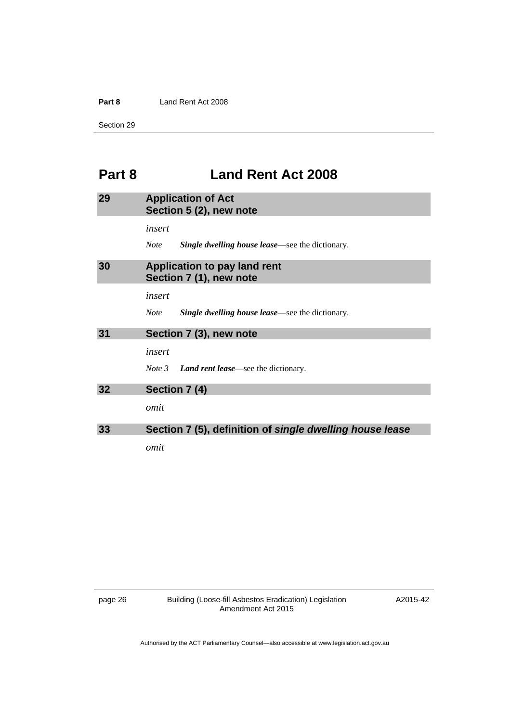#### **Part 8** Land Rent Act 2008

Section 29

# <span id="page-29-0"></span>**Part 8 Land Rent Act 2008**

<span id="page-29-4"></span><span id="page-29-3"></span><span id="page-29-2"></span><span id="page-29-1"></span>

| 29 | <b>Application of Act</b><br>Section 5 (2), new note                   |  |  |  |
|----|------------------------------------------------------------------------|--|--|--|
|    | insert                                                                 |  |  |  |
|    | <b>Single dwelling house lease</b> —see the dictionary.<br><b>Note</b> |  |  |  |
| 30 | <b>Application to pay land rent</b><br>Section 7 (1), new note         |  |  |  |
|    | insert                                                                 |  |  |  |
|    | <b>Note</b><br><b>Single dwelling house lease</b> —see the dictionary. |  |  |  |
| 31 | Section 7 (3), new note                                                |  |  |  |
|    | insert                                                                 |  |  |  |
|    | <i>Note</i> $3$ <b><i>Land rent lease</i></b> —see the dictionary.     |  |  |  |
| 32 | Section 7 (4)                                                          |  |  |  |
|    | omit                                                                   |  |  |  |
| 33 | Section 7 (5), definition of single dwelling house lease               |  |  |  |
|    | omit                                                                   |  |  |  |

<span id="page-29-5"></span>

page 26 Building (Loose-fill Asbestos Eradication) Legislation Amendment Act 2015

A2015-42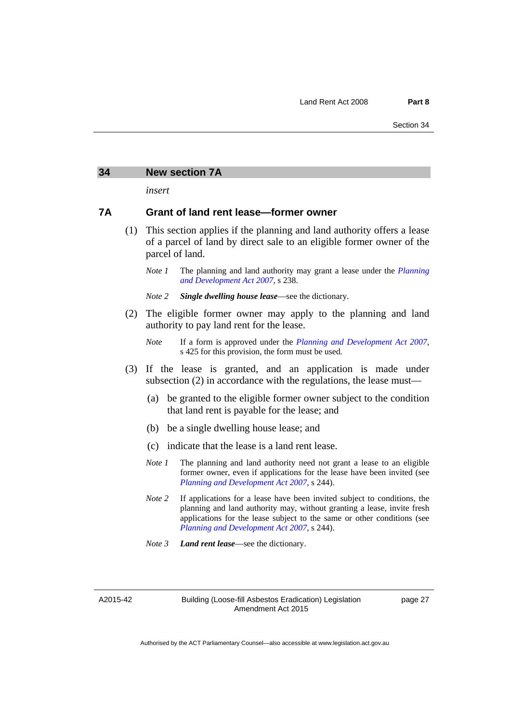#### <span id="page-30-0"></span>**34 New section 7A**

*insert* 

#### **7A Grant of land rent lease—former owner**

- (1) This section applies if the planning and land authority offers a lease of a parcel of land by direct sale to an eligible former owner of the parcel of land.
	- *Note 1* The planning and land authority may grant a lease under the *Planning [and Development Act 2007](http://www.legislation.act.gov.au/a/2007-24)*, s 238.
	- *Note 2 Single dwelling house lease*—see the dictionary.
- (2) The eligible former owner may apply to the planning and land authority to pay land rent for the lease.
	- *Note* If a form is approved under the *[Planning and Development Act 2007](http://www.legislation.act.gov.au/a/2007-24)*, s 425 for this provision, the form must be used.
- (3) If the lease is granted, and an application is made under subsection (2) in accordance with the regulations, the lease must—
	- (a) be granted to the eligible former owner subject to the condition that land rent is payable for the lease; and
	- (b) be a single dwelling house lease; and
	- (c) indicate that the lease is a land rent lease.
	- *Note 1* The planning and land authority need not grant a lease to an eligible former owner, even if applications for the lease have been invited (see *[Planning and Development Act 2007](http://www.legislation.act.gov.au/a/2007-24)*, s 244).
	- *Note* 2 If applications for a lease have been invited subject to conditions, the planning and land authority may, without granting a lease, invite fresh applications for the lease subject to the same or other conditions (see *[Planning and Development Act 2007](http://www.legislation.act.gov.au/a/2007-24)*, s 244).
	- *Note 3 Land rent lease*—see the dictionary.

A2015-42

Building (Loose-fill Asbestos Eradication) Legislation Amendment Act 2015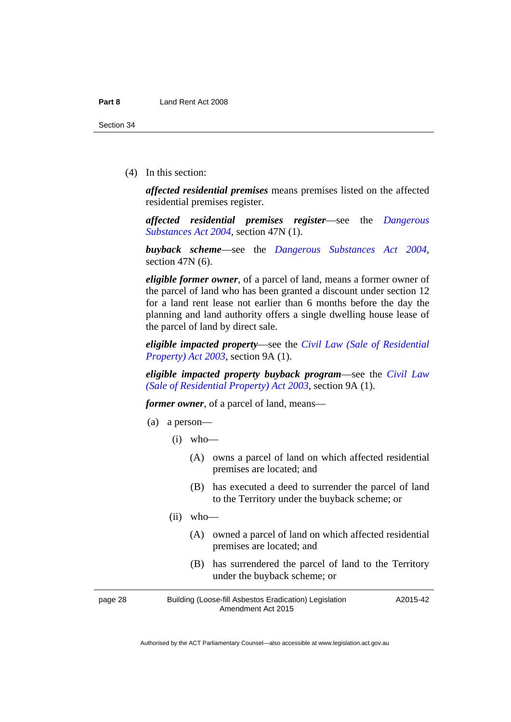(4) In this section:

*affected residential premises* means premises listed on the affected residential premises register.

*affected residential premises register*—see the *[Dangerous](http://www.legislation.act.gov.au/a/2004-7)  [Substances Act 2004](http://www.legislation.act.gov.au/a/2004-7)*, section 47N (1).

*buyback scheme*—see the *[Dangerous Substances Act 2004](http://www.legislation.act.gov.au/a/2004-7)*, section 47N (6).

*eligible former owner*, of a parcel of land, means a former owner of the parcel of land who has been granted a discount under section 12 for a land rent lease not earlier than 6 months before the day the planning and land authority offers a single dwelling house lease of the parcel of land by direct sale.

*eligible impacted property*—see the *[Civil Law \(Sale of Residential](http://www.legislation.act.gov.au/a/2003-40)  [Property\) Act 2003](http://www.legislation.act.gov.au/a/2003-40)*, section 9A (1).

*eligible impacted property buyback program*—see the *[Civil Law](http://www.legislation.act.gov.au/a/2003-40)  [\(Sale of Residential Property\) Act 2003](http://www.legislation.act.gov.au/a/2003-40)*, section 9A (1).

*former owner*, of a parcel of land, means—

- (a) a person—
	- $(i)$  who—
		- (A) owns a parcel of land on which affected residential premises are located; and
		- (B) has executed a deed to surrender the parcel of land to the Territory under the buyback scheme; or
	- (ii) who—
		- (A) owned a parcel of land on which affected residential premises are located; and
		- (B) has surrendered the parcel of land to the Territory under the buyback scheme; or

page 28 Building (Loose-fill Asbestos Eradication) Legislation Amendment Act 2015

A2015-42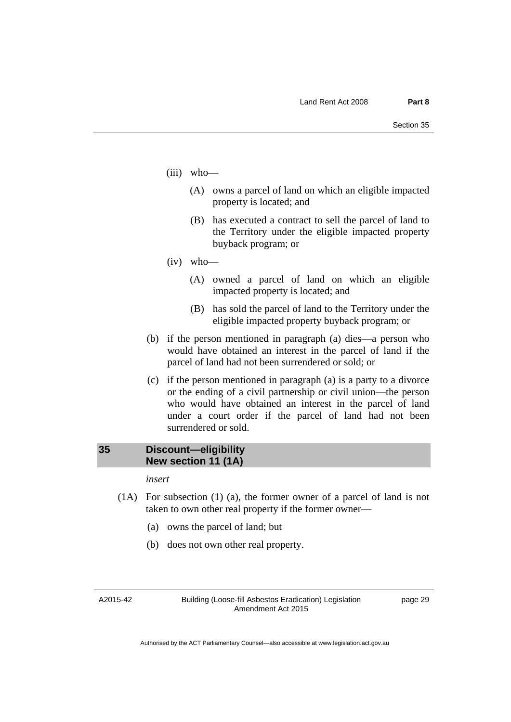- (iii) who—
	- (A) owns a parcel of land on which an eligible impacted property is located; and
	- (B) has executed a contract to sell the parcel of land to the Territory under the eligible impacted property buyback program; or
- (iv) who—
	- (A) owned a parcel of land on which an eligible impacted property is located; and
	- (B) has sold the parcel of land to the Territory under the eligible impacted property buyback program; or
- (b) if the person mentioned in paragraph (a) dies—a person who would have obtained an interest in the parcel of land if the parcel of land had not been surrendered or sold; or
- (c) if the person mentioned in paragraph (a) is a party to a divorce or the ending of a civil partnership or civil union—the person who would have obtained an interest in the parcel of land under a court order if the parcel of land had not been surrendered or sold.

# <span id="page-32-0"></span>**35 Discount—eligibility New section 11 (1A)**

*insert* 

- (1A) For subsection (1) (a), the former owner of a parcel of land is not taken to own other real property if the former owner—
	- (a) owns the parcel of land; but
	- (b) does not own other real property.

A2015-42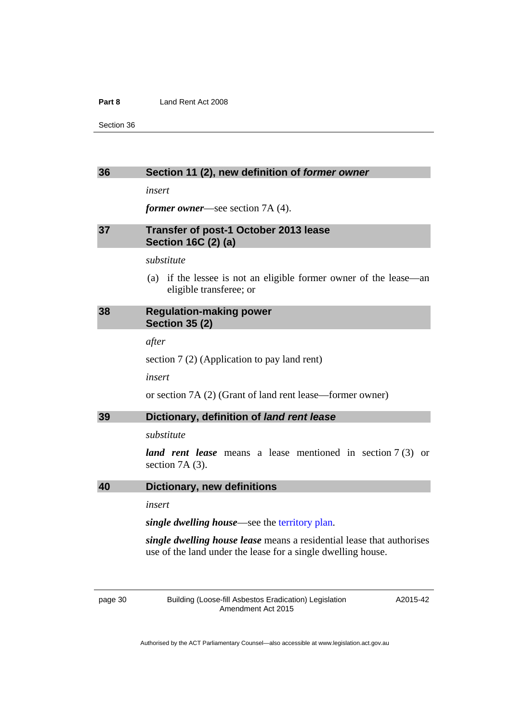#### **Part 8** Land Rent Act 2008

Section 36

#### <span id="page-33-0"></span>**36 Section 11 (2), new definition of** *former owner*

*insert* 

*former owner*—see section 7A (4).

# <span id="page-33-1"></span>**37 Transfer of post-1 October 2013 lease Section 16C (2) (a)**

# *substitute*

 (a) if the lessee is not an eligible former owner of the lease—an eligible transferee; or

### <span id="page-33-2"></span>**38 Regulation-making power Section 35 (2)**

*after* 

section 7 (2) (Application to pay land rent)

*insert* 

or section 7A (2) (Grant of land rent lease—former owner)

#### <span id="page-33-3"></span>**39 Dictionary, definition of** *land rent lease*

*substitute* 

*land rent lease* means a lease mentioned in section 7 (3) or section 7A (3).

### <span id="page-33-4"></span>**40 Dictionary, new definitions**

*insert* 

*single dwelling house*—see the [territory plan.](http://www.legislation.act.gov.au/ni/2008-27/default.asp)

*single dwelling house lease* means a residential lease that authorises use of the land under the lease for a single dwelling house.

page 30 Building (Loose-fill Asbestos Eradication) Legislation Amendment Act 2015

A2015-42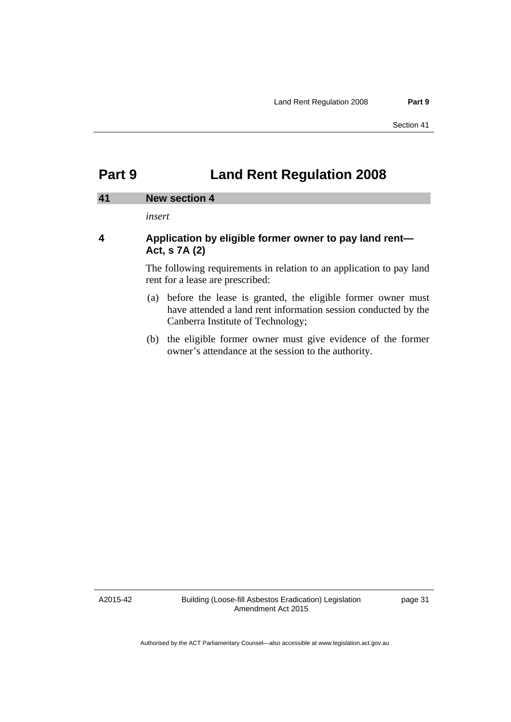# <span id="page-34-0"></span>**Part 9 Land Rent Regulation 2008**

#### <span id="page-34-1"></span>**41 New section 4**

*insert* 

# **4 Application by eligible former owner to pay land rent— Act, s 7A (2)**

The following requirements in relation to an application to pay land rent for a lease are prescribed:

- (a) before the lease is granted, the eligible former owner must have attended a land rent information session conducted by the Canberra Institute of Technology;
- (b) the eligible former owner must give evidence of the former owner's attendance at the session to the authority.

A2015-42

Building (Loose-fill Asbestos Eradication) Legislation Amendment Act 2015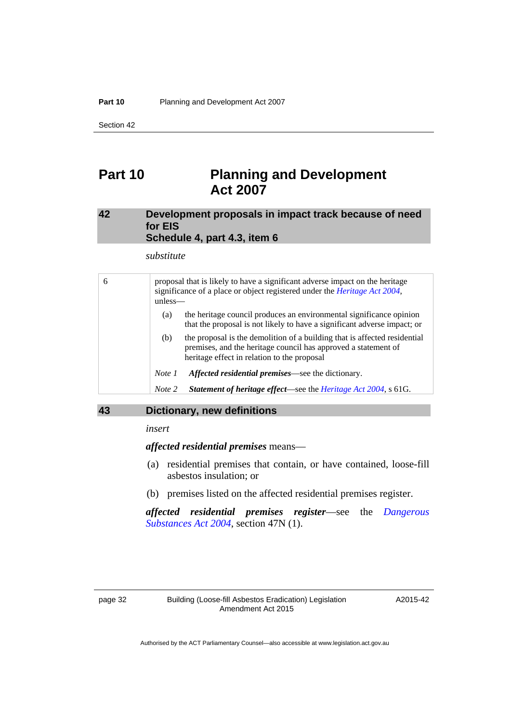# <span id="page-35-0"></span>**Part 10 Planning and Development Act 2007**

# <span id="page-35-1"></span>**42 Development proposals in impact track because of need for EIS Schedule 4, part 4.3, item 6**

*substitute* 

| 6 | proposal that is likely to have a significant adverse impact on the heritage<br>significance of a place or object registered under the <i>Heritage Act 2004</i> ,<br>$unless$ — |                                                                                                                                                                                            |  |  |
|---|---------------------------------------------------------------------------------------------------------------------------------------------------------------------------------|--------------------------------------------------------------------------------------------------------------------------------------------------------------------------------------------|--|--|
|   | (a)                                                                                                                                                                             | the heritage council produces an environmental significance opinion<br>that the proposal is not likely to have a significant adverse impact; or                                            |  |  |
|   | (b)                                                                                                                                                                             | the proposal is the demolition of a building that is affected residential<br>premises, and the heritage council has approved a statement of<br>heritage effect in relation to the proposal |  |  |
|   | Note 1                                                                                                                                                                          | Affected residential premises—see the dictionary.                                                                                                                                          |  |  |
|   | Note 2                                                                                                                                                                          | Statement of heritage effect—see the Heritage Act 2004, s 61G.                                                                                                                             |  |  |

### <span id="page-35-2"></span>**43 Dictionary, new definitions**

*insert* 

*affected residential premises* means—

- (a) residential premises that contain, or have contained, loose-fill asbestos insulation; or
- (b) premises listed on the affected residential premises register.

*affected residential premises register*—see the *[Dangerous](http://www.legislation.act.gov.au/a/2004-7)  [Substances Act 2004](http://www.legislation.act.gov.au/a/2004-7)*, section 47N (1).

A2015-42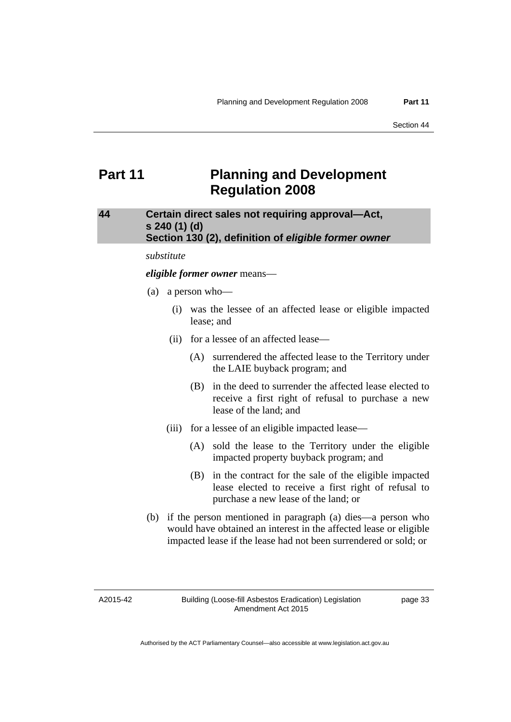# <span id="page-36-0"></span>**Part 11** Planning and Development **Regulation 2008**

# <span id="page-36-1"></span>**44 Certain direct sales not requiring approval—Act, s 240 (1) (d) Section 130 (2), definition of** *eligible former owner*

#### *substitute*

#### *eligible former owner* means—

- (a) a person who—
	- (i) was the lessee of an affected lease or eligible impacted lease; and
	- (ii) for a lessee of an affected lease—
		- (A) surrendered the affected lease to the Territory under the LAIE buyback program; and
		- (B) in the deed to surrender the affected lease elected to receive a first right of refusal to purchase a new lease of the land; and
	- (iii) for a lessee of an eligible impacted lease—
		- (A) sold the lease to the Territory under the eligible impacted property buyback program; and
		- (B) in the contract for the sale of the eligible impacted lease elected to receive a first right of refusal to purchase a new lease of the land; or
- (b) if the person mentioned in paragraph (a) dies—a person who would have obtained an interest in the affected lease or eligible impacted lease if the lease had not been surrendered or sold; or

A2015-42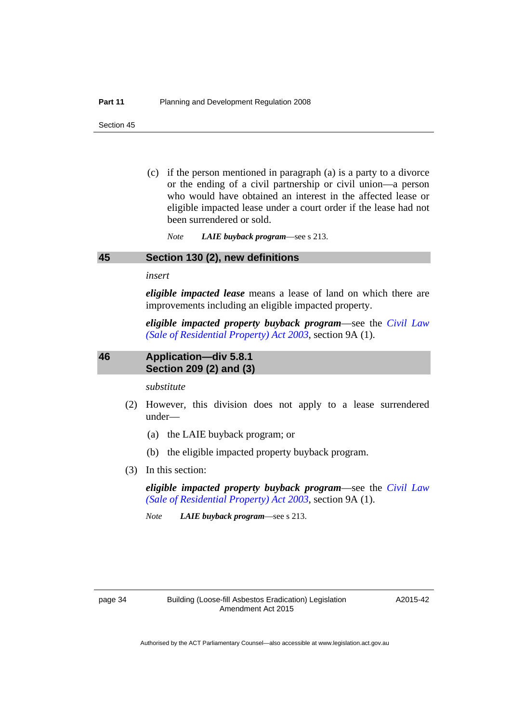(c) if the person mentioned in paragraph (a) is a party to a divorce or the ending of a civil partnership or civil union—a person who would have obtained an interest in the affected lease or eligible impacted lease under a court order if the lease had not been surrendered or sold.

*Note LAIE buyback program*—see s 213.

### <span id="page-37-0"></span>**45 Section 130 (2), new definitions**

*insert* 

*eligible impacted lease* means a lease of land on which there are improvements including an eligible impacted property.

*eligible impacted property buyback program*—see the *[Civil Law](http://www.legislation.act.gov.au/a/2003-40)  [\(Sale of Residential Property\) Act 2003](http://www.legislation.act.gov.au/a/2003-40)*, section 9A (1).

### <span id="page-37-1"></span>**46 Application—div 5.8.1 Section 209 (2) and (3)**

*substitute* 

- (2) However, this division does not apply to a lease surrendered under—
	- (a) the LAIE buyback program; or
	- (b) the eligible impacted property buyback program.
- (3) In this section:

*eligible impacted property buyback program*—see the *[Civil Law](http://www.legislation.act.gov.au/a/2003-40)  [\(Sale of Residential Property\) Act 2003](http://www.legislation.act.gov.au/a/2003-40)*, section 9A (1).

*Note LAIE buyback program*—see s 213.

A2015-42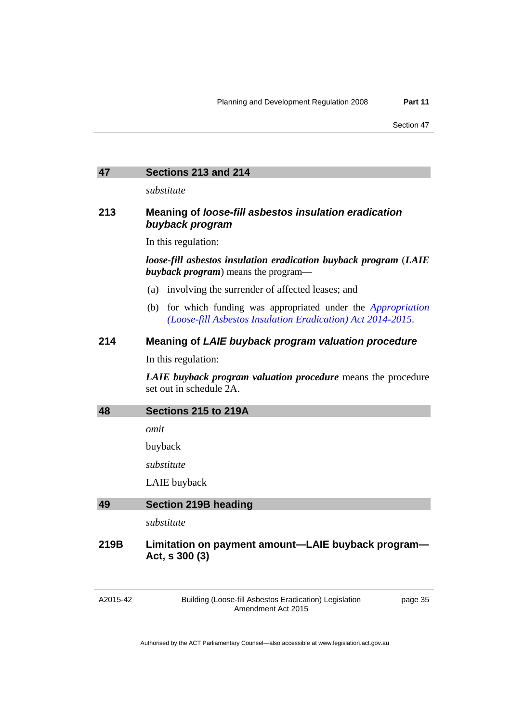### <span id="page-38-0"></span>**47 Sections 213 and 214**

*substitute* 

# **213 Meaning of** *loose-fill asbestos insulation eradication buyback program*

In this regulation:

*loose-fill asbestos insulation eradication buyback program* (*LAIE buyback program*) means the program—

- (a) involving the surrender of affected leases; and
- (b) for which funding was appropriated under the *[Appropriation](http://www.legislation.act.gov.au/a/2014-61/default.asp)  [\(Loose-fill Asbestos Insulation Eradication\) Act 2014-2015](http://www.legislation.act.gov.au/a/2014-61/default.asp)*.

# **214 Meaning of** *LAIE buyback program valuation procedure*

In this regulation:

*LAIE buyback program valuation procedure* means the procedure set out in schedule 2A.

<span id="page-38-1"></span>

| 48 | Sections 215 to 219A |  |  |
|----|----------------------|--|--|
|    |                      |  |  |

*omit* 

buyback

*substitute* 

LAIE buyback

<span id="page-38-2"></span>

| 49 | Section 219B heading |  |
|----|----------------------|--|
|    |                      |  |

*substitute* 

# **219B Limitation on payment amount—LAIE buyback program— Act, s 300 (3)**

A2015-42

Building (Loose-fill Asbestos Eradication) Legislation Amendment Act 2015

page 35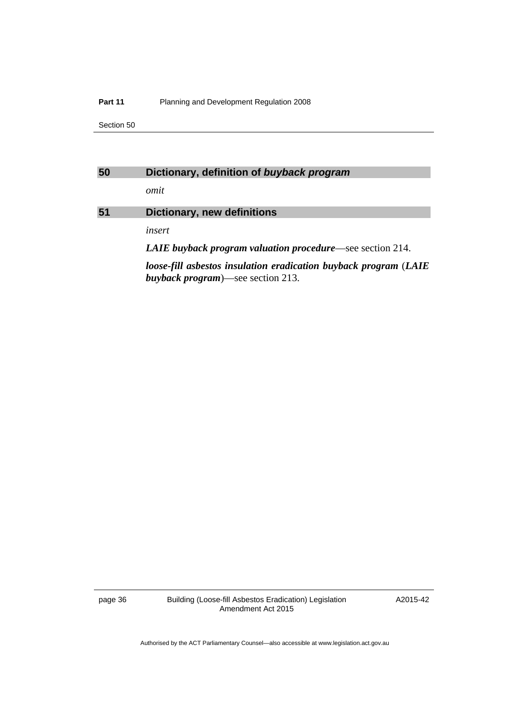#### **Part 11** Planning and Development Regulation 2008

Section 50

# <span id="page-39-0"></span>**50 Dictionary, definition of** *buyback program*

*omit* 

# <span id="page-39-1"></span>**51 Dictionary, new definitions**

*insert* 

*LAIE buyback program valuation procedure*—see section 214.

*loose-fill asbestos insulation eradication buyback program* (*LAIE buyback program*)—see section 213.

page 36 Building (Loose-fill Asbestos Eradication) Legislation Amendment Act 2015

A2015-42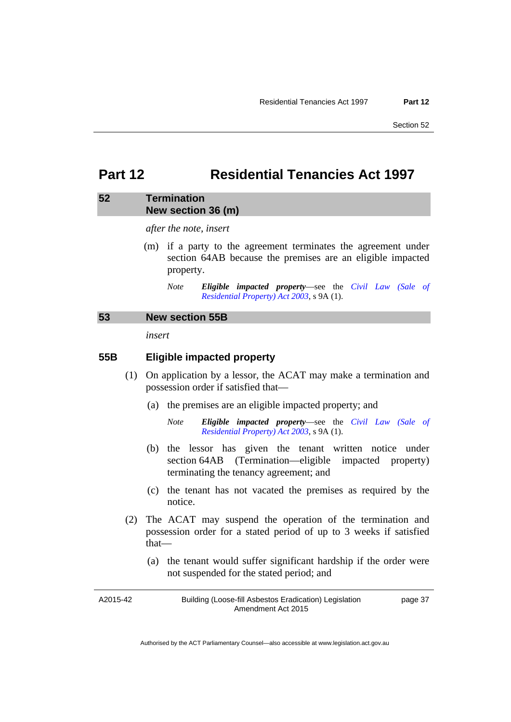# <span id="page-40-0"></span>**Part 12 Residential Tenancies Act 1997**

### <span id="page-40-1"></span>**52 Termination New section 36 (m)**

*after the note, insert* 

 (m) if a party to the agreement terminates the agreement under section 64AB because the premises are an eligible impacted property.

# <span id="page-40-2"></span>**53 New section 55B**

*insert* 

# **55B Eligible impacted property**

- (1) On application by a lessor, the ACAT may make a termination and possession order if satisfied that—
	- (a) the premises are an eligible impacted property; and
		- *Note Eligible impacted property*—see the *[Civil Law \(Sale of](http://www.legislation.act.gov.au/a/2003-40/default.asp)  [Residential Property\) Act 2003](http://www.legislation.act.gov.au/a/2003-40/default.asp)*, s 9A (1).
	- (b) the lessor has given the tenant written notice under section 64AB (Termination—eligible impacted property) terminating the tenancy agreement; and
	- (c) the tenant has not vacated the premises as required by the notice.
- (2) The ACAT may suspend the operation of the termination and possession order for a stated period of up to 3 weeks if satisfied that—
	- (a) the tenant would suffer significant hardship if the order were not suspended for the stated period; and

A2015-42 Building (Loose-fill Asbestos Eradication) Legislation Amendment Act 2015 page 37

*Note Eligible impacted property*—see the *[Civil Law \(Sale of](http://www.legislation.act.gov.au/a/2003-40/default.asp)  [Residential Property\) Act 2003](http://www.legislation.act.gov.au/a/2003-40/default.asp)*, s 9A (1).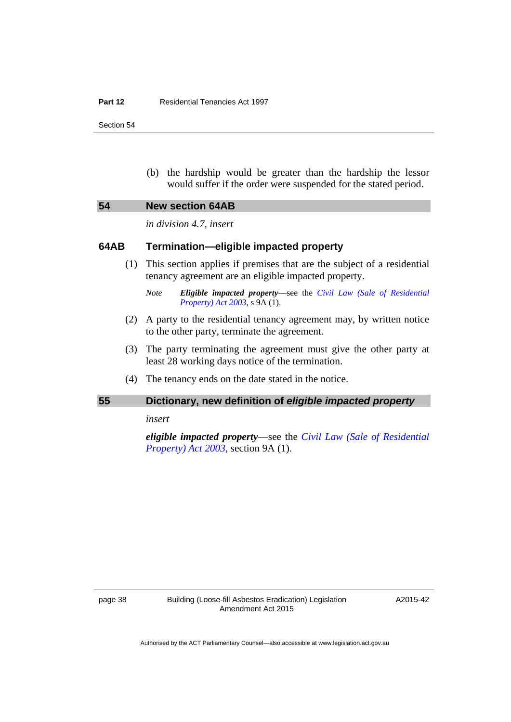#### **Part 12** Residential Tenancies Act 1997

Section 54

 (b) the hardship would be greater than the hardship the lessor would suffer if the order were suspended for the stated period.

<span id="page-41-0"></span>

| 54<br><b>New section 64AB</b> |  |
|-------------------------------|--|
|-------------------------------|--|

*in division 4.7, insert* 

### **64AB Termination—eligible impacted property**

- (1) This section applies if premises that are the subject of a residential tenancy agreement are an eligible impacted property.
	- *Note Eligible impacted property*—see the *[Civil Law \(Sale of Residential](http://www.legislation.act.gov.au/a/2003-40/default.asp)  [Property\) Act 2003](http://www.legislation.act.gov.au/a/2003-40/default.asp)*, s 9A (1).
- (2) A party to the residential tenancy agreement may, by written notice to the other party, terminate the agreement.
- (3) The party terminating the agreement must give the other party at least 28 working days notice of the termination.
- (4) The tenancy ends on the date stated in the notice.

# <span id="page-41-1"></span>**55 Dictionary, new definition of** *eligible impacted property*

*insert* 

*eligible impacted property*—see the *[Civil Law \(Sale of Residential](http://www.legislation.act.gov.au/a/2003-40)  [Property\) Act 2003](http://www.legislation.act.gov.au/a/2003-40)*, section 9A (1).

A2015-42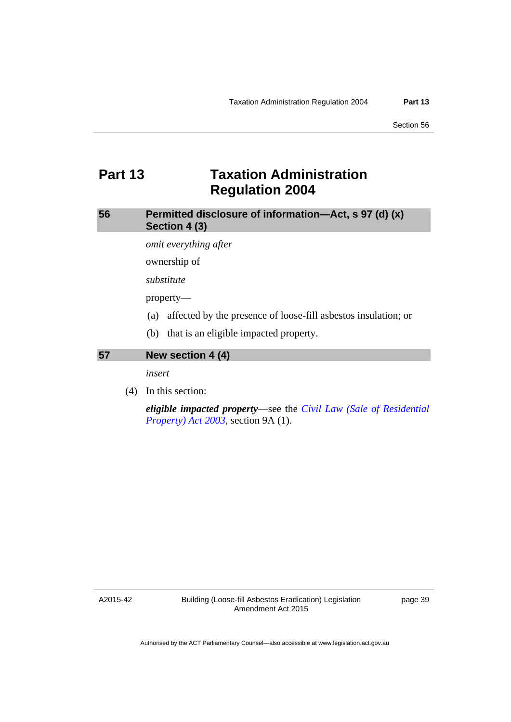# <span id="page-42-0"></span>**Part 13 Taxation Administration Regulation 2004**

<span id="page-42-1"></span>**56 Permitted disclosure of information—Act, s 97 (d) (x) Section 4 (3)** 

*omit everything after* 

ownership of

*substitute* 

property—

- (a) affected by the presence of loose-fill asbestos insulation; or
- (b) that is an eligible impacted property.

<span id="page-42-2"></span>**57 New section 4 (4)** 

*insert* 

(4) In this section:

*eligible impacted property*—see the *[Civil Law \(Sale of Residential](http://www.legislation.act.gov.au/a/2003-40)  [Property\) Act 2003](http://www.legislation.act.gov.au/a/2003-40)*, section 9A (1).

A2015-42